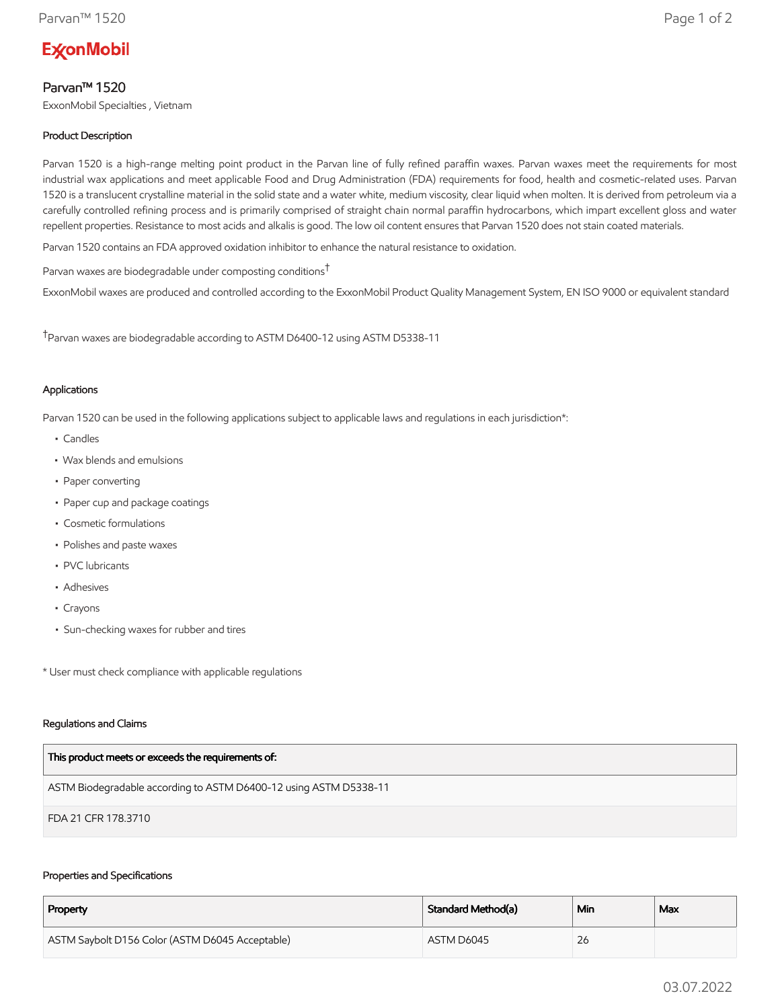# **ExconMobil**

## Parvan™ 1520

ExxonMobil Specialties , Vietnam

## Product Description

Parvan 1520 is a high-range melting point product in the Parvan line of fully refined paraffin waxes. Parvan waxes meet the requirements for most industrial wax applications and meet applicable Food and Drug Administration (FDA) requirements for food, health and cosmetic-related uses. Parvan 1520 is a translucent crystalline material in the solid state and a water white, medium viscosity, clear liquid when molten. It is derived from petroleum via a carefully controlled refining process and is primarily comprised of straight chain normal paraffin hydrocarbons, which impart excellent gloss and water repellent properties. Resistance to most acids and alkalis is good. The low oil content ensures that Parvan 1520 does not stain coated materials.

Parvan 1520 contains an FDA approved oxidation inhibitor to enhance the natural resistance to oxidation.

Parvan waxes are biodegradable under composting conditions†

ExxonMobil waxes are produced and controlled according to the ExxonMobil Product Quality Management System, EN ISO 9000 or equivalent standard

†Parvan waxes are biodegradable according to ASTM D6400-12 using ASTM D5338-11

## Applications

Parvan 1520 can be used in the following applications subject to applicable laws and regulations in each jurisdiction\*:

- Candles
- Wax blends and emulsions
- Paper converting
- Paper cup and package coatings
- Cosmetic formulations
- Polishes and paste waxes
- PVC lubricants
- Adhesives
- Crayons
- Sun-checking waxes for rubber and tires

\* User must check compliance with applicable regulations

### Regulations and Claims

| This product meets or exceeds the requirements of:                |
|-------------------------------------------------------------------|
| ASTM Biodegradable according to ASTM D6400-12 using ASTM D5338-11 |
| FDA 21 CFR 178.3710                                               |

### Properties and Specifications

| Property                                        | Standard Method(a) | Min | Max |
|-------------------------------------------------|--------------------|-----|-----|
| ASTM Saybolt D156 Color (ASTM D6045 Acceptable) | ASTM D6045         | 26  |     |